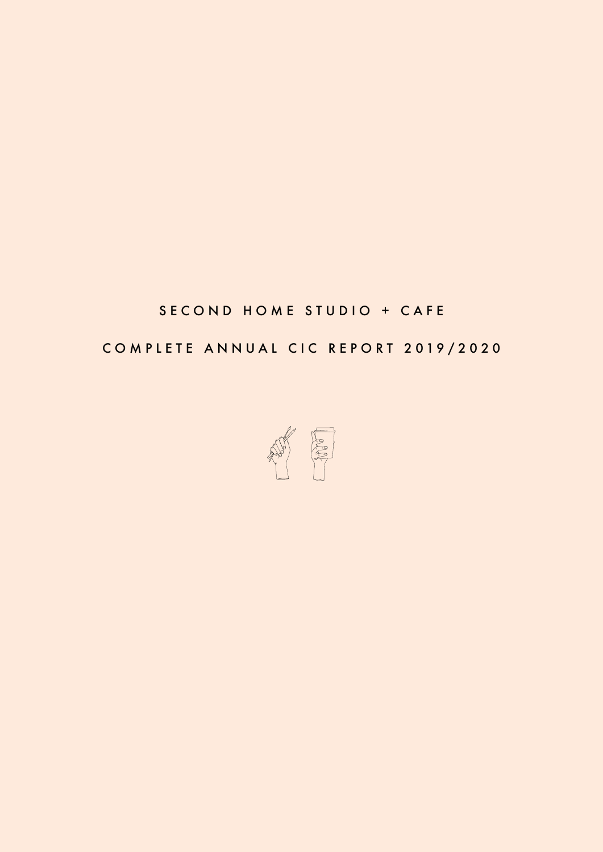## SECOND HOME STUDIO + CAFE

## COMPLETE ANNUAL CIC REPORT 2019/2020

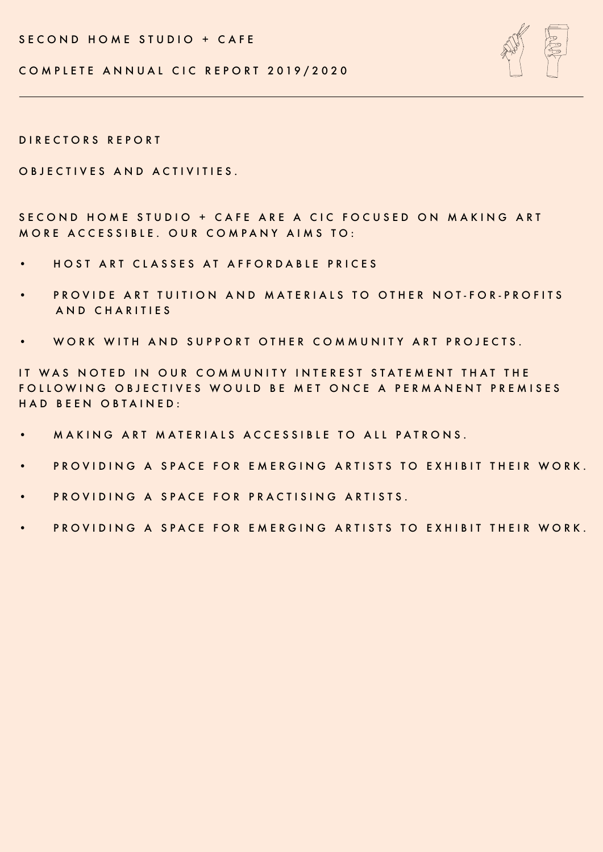SECOND HOME STUDIO + CAFE



COMPLETE ANNUAL CIC REPORT 2019/2020

DIRECTORS REPORT

OBJECTIVES AND ACTIVITIES.

SECOND HOME STUDIO + CAFE ARE A CIC FOCUSED ON MAKING ART MORE ACCESSIBLE. OUR COMPANY AIMS TO:

- HOST ART CLASSES AT AFFORDABLE PRICES
- PROVIDE ART TUITION AND MATERIALS TO OTHER NOT-FOR-PROFITS AND CHARITIES
- WORK WITH AND SUPPORT OTHER COMMUNITY ART PROJECTS.

IT WAS NOTED IN OUR COMMUNITY INTEREST STATEMENT THAT THE FOLLOWING OBJECTIVES WOULD BE MET ONCE A PERMANENT PREMISES HAD BEEN OBTAINED:

- MAKING ART MATERIALS ACCESSIBLE TO ALL PATRONS.
- PROVIDING A SPACE FOR EMERGING ARTISTS TO EXHIBIT THEIR WORK.
- PROVIDING A SPACE FOR PRACTISING ARTISTS.
- PROVIDING A SPACE FOR EMERGING ARTISTS TO EXHIBIT THEIR WORK.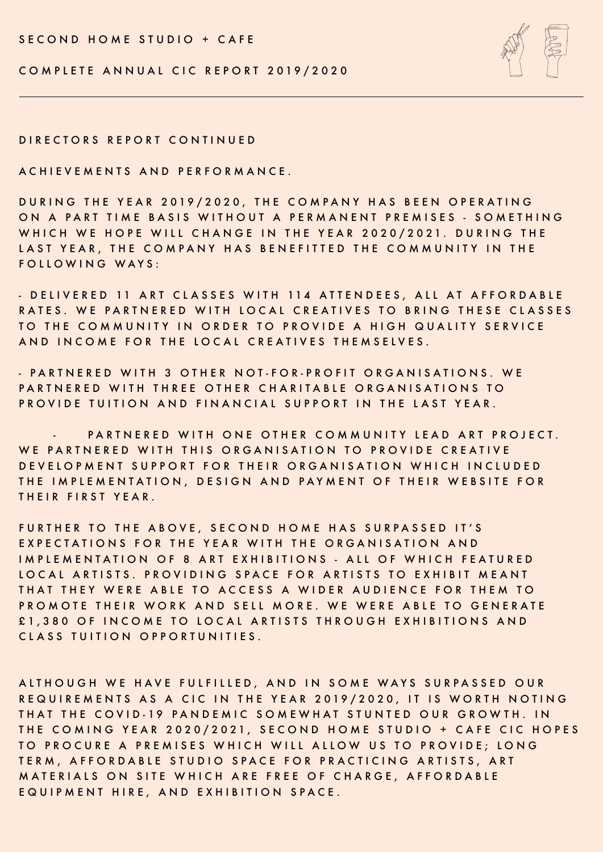SECOND HOME STUDIO + CAFE





DIRECTORS REPORT CONTINUED

ACHIEVEMENTS AND PERFORMANCE.

DURING THE YEAR 2019/2020 , THE COMPANY HAS BEEN OPERATING ON A PART TIME BASIS WITHOUT A PERMANENT PREMISES - SOMETHING WHICH WE HOPE WILL CHANGE IN THE YEAR 2020/2021. DURING THE LAST YEAR, THE COMPANY HAS BENEFITTED THE COMMUNITY IN THE FOLLOWING WAYS:

- D ELIVERED 11 ART CLASSES WITH 114 ATTENDEES, ALL AT AFFORDABLE RATES. WE PARTNERED WITH LOCAL CREATIVES TO BRING THESE CLASSES TO THE COMMUNITY IN ORDER TO PROVIDE A HIGH QUALITY SERVICE AND INCOME FOR THE LOCAL CREATIVES THEMSELVES.

- PARTNERED WITH 3 OTHER NOT-FOR-PROFIT ORGANISATIONS. WE PARTNERED WITH THREE OTHER CHARITABLE ORGANISATIONS TO PROVIDE TUITION AND FINANCIAL SUPPORT IN THE LAST YEAR.

PARTNERED WITH ONE OTHER COMMUNITY LEAD ART PROJECT. WE PARTNERED WITH THIS ORGANISATION TO PROVIDE CREATIVE DEVELOPMENT SUPPORT FOR THEIR ORGANISATION WHICH INCLUDED THE IMPLEMENTATION , DESIGN AND PAYMENT OF THEIR WEBSITE FOR THEIR FIRST YEAR.

FURTHER TO THE ABOVE, SECOND HOME HAS SURPASSED IT'S EXPECTATIONS FOR THE YEAR WITH THE ORGANISATION AND IMPLEMENTATION OF 8 ART EXHIBITIONS - ALL OF WHICH FEATURED LOCAL ARTISTS. PROVIDING SPACE FOR ARTISTS TO EXHIBIT MEANT THAT THEY WERE ABLE TO ACCESS A WIDER AUDIENCE FOR THEM TO PROMOTE THEIR WORK AND SELL MORE. WE WERE ABLE TO GENERATE £1,380 OF INCOME TO LOCAL ARTISTS THROUGH EXHIBITIONS AND CLASS TUITION OPPORTUNITIES.

ALTHOUGH WE HAVE FULFILLED, AND IN SOME WAYS SURPASSED OUR REQUIREMENTS AS A CIC IN THE YEAR 2019/2020 , IT IS WORTH NOTING THAT THE COVID-19 PANDEMIC SOMEWHAT STUNTED OUR GROWTH. IN THE COMING YEAR 2020/2021, SECOND HOME STUDIO + CAFE CIC HOPES TO PROCURE A PREMISES WHICH WILL ALLOW US TO PROVIDE; LONG TERM, AFFORDABLE STUDIO SPACE FOR PRACTICING ARTISTS, ART MATERIALS ON SITE WHICH ARE FREE OF CHARGE, AFFORDABLE EQUIPMENT HIRE, AND EXHIBITION SPACE.